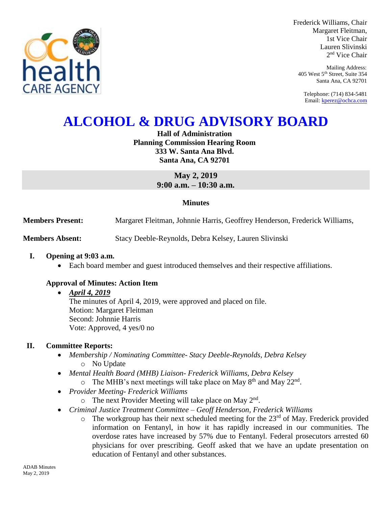

Frederick Williams, Chair Margaret Fleitman, 1st Vice Chair Lauren Slivinski 2 nd Vice Chair

Mailing Address: 405 West 5th Street, Suite 354 Santa Ana, CA 92701

Telephone: (714) 834-5481 Email[: kperez@ochca.com](mailto:kperez@ochca.com)

# **ALCOHOL & DRUG ADVISORY BOARD**

# **Hall of Administration Planning Commission Hearing Room 333 W. Santa Ana Blvd. Santa Ana, CA 92701**

**May 2, 2019 9:00 a.m. – 10:30 a.m.** 

## **Minutes**

**Members Present:** Margaret Fleitman, Johnnie Harris, Geoffrey Henderson, Frederick Williams,

**Members Absent:** Stacy Deeble-Reynolds, Debra Kelsey, Lauren Slivinski

#### **I. Opening at 9:03 a.m.**

Each board member and guest introduced themselves and their respective affiliations.

## **Approval of Minutes: Action Item**

#### *April 4, 2019*

The minutes of April 4, 2019, were approved and placed on file. Motion: Margaret Fleitman Second: Johnnie Harris Vote: Approved, 4 yes/0 no

## **II. Committee Reports:**

- *Membership / Nominating Committee- Stacy Deeble-Reynolds, Debra Kelsey*  o No Update
- *Mental Health Board (MHB) Liaison- Frederick Williams, Debra Kelsey* 
	- $\circ$  The MHB's next meetings will take place on May 8<sup>th</sup> and May 22<sup>nd</sup>.
- *Provider Meeting- Frederick Williams*
	- $\circ$  The next Provider Meeting will take place on May 2<sup>nd</sup>.
- *Criminal Justice Treatment Committee – Geoff Henderson, Frederick Williams*
	- $\circ$  The workgroup has their next scheduled meeting for the 23<sup>rd</sup> of May. Frederick provided information on Fentanyl, in how it has rapidly increased in our communities. The overdose rates have increased by 57% due to Fentanyl. Federal prosecutors arrested 60 physicians for over prescribing. Geoff asked that we have an update presentation on education of Fentanyl and other substances.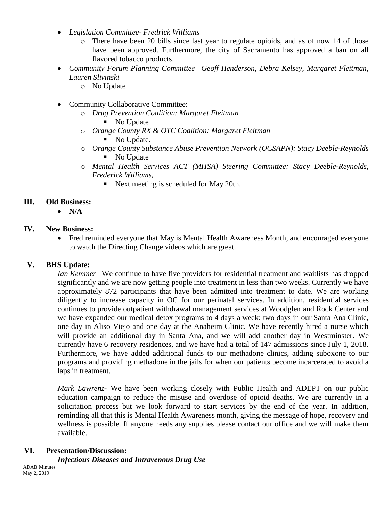- *Legislation Committee- Fredrick Williams*
	- o There have been 20 bills since last year to regulate opioids, and as of now 14 of those have been approved. Furthermore, the city of Sacramento has approved a ban on all flavored tobacco products.
- *Community Forum Planning Committee– Geoff Henderson, Debra Kelsey, Margaret Fleitman, Lauren Slivinski*
	- o No Update
- Community Collaborative Committee:
	- o *Drug Prevention Coalition: Margaret Fleitman*
		- No Update
	- o *Orange County RX & OTC Coalition: Margaret Fleitman*
		- No Update.
	- o *Orange County Substance Abuse Prevention Network (OCSAPN): Stacy Deeble-Reynolds* • No Update
	- o *Mental Health Services ACT (MHSA) Steering Committee: Stacy Deeble-Reynolds, Frederick Williams,* 
		- Next meeting is scheduled for May 20th.

## **III. Old Business:**

 $\bullet$  N/A

# **IV. New Business:**

 Fred reminded everyone that May is Mental Health Awareness Month, and encouraged everyone to watch the Directing Change videos which are great.

# **V. BHS Update:**

*Ian Kemmer –*We continue to have five providers for residential treatment and waitlists has dropped significantly and we are now getting people into treatment in less than two weeks. Currently we have approximately 872 participants that have been admitted into treatment to date. We are working diligently to increase capacity in OC for our perinatal services. In addition, residential services continues to provide outpatient withdrawal management services at Woodglen and Rock Center and we have expanded our medical detox programs to 4 days a week: two days in our Santa Ana Clinic, one day in Aliso Viejo and one day at the Anaheim Clinic. We have recently hired a nurse which will provide an additional day in Santa Ana, and we will add another day in Westminster. We currently have 6 recovery residences, and we have had a total of 147 admissions since July 1, 2018. Furthermore, we have added additional funds to our methadone clinics, adding suboxone to our programs and providing methadone in the jails for when our patients become incarcerated to avoid a laps in treatment.

*Mark Lawrenz***-** We have been working closely with Public Health and ADEPT on our public education campaign to reduce the misuse and overdose of opioid deaths. We are currently in a solicitation process but we look forward to start services by the end of the year. In addition, reminding all that this is Mental Health Awareness month, giving the message of hope, recovery and wellness is possible. If anyone needs any supplies please contact our office and we will make them available.

## **VI. Presentation/Discussion:**

*Infectious Diseases and Intravenous Drug Use*